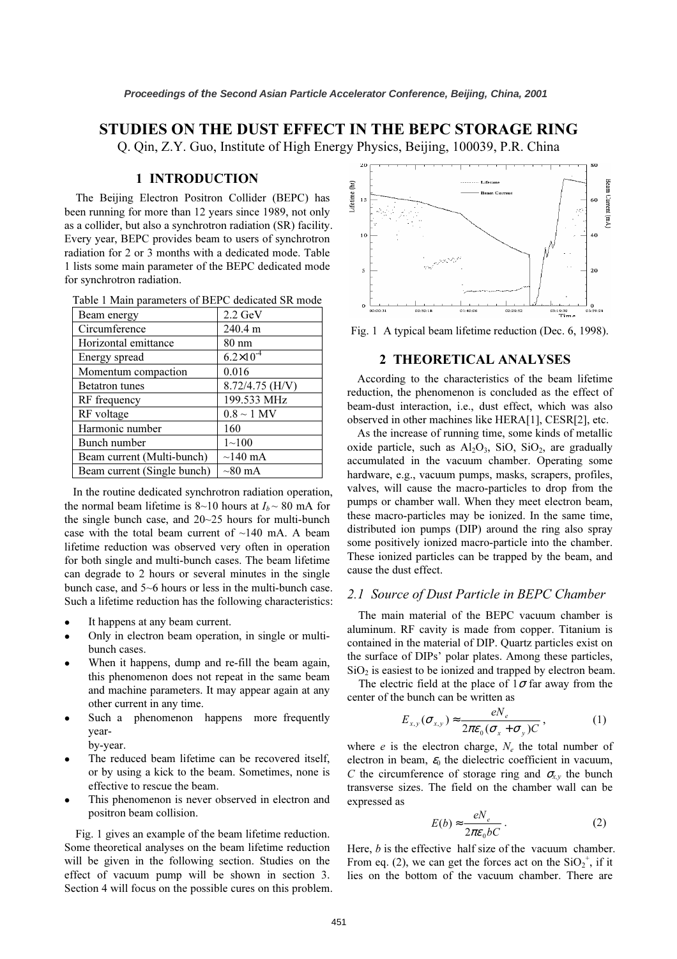# STUDIES ON THE DUST EFFECT IN THE BEPC STORAGE RING Q. Qin, Z.Y. Guo, Institute of High Energy Physics, Beijing, 100039, P.R. China

# 1 INTRODUCTION

The Beijing Electron Positron Collider (BEPC) has been running for more than 12 years since 1989, not only as a collider, but also a synchrotron radiation (SR) facility. Every year, BEPC provides beam to users of synchrotron radiation for 2 or 3 months with a dedicated mode. Table 1 lists some main parameter of the BEPC dedicated mode for synchrotron radiation.

| Beam energy                 | $2.2 \text{ GeV}$    |
|-----------------------------|----------------------|
| Circumference               | 240.4 m              |
| Horizontal emittance        | $80 \text{ nm}$      |
| Energy spread               | $6.2 \times 10^{-4}$ |
| Momentum compaction         | 0.016                |
| <b>Betatron</b> tunes       | 8.72/4.75 (H/V)      |
| RF frequency                | 199.533 MHz          |
| RF voltage                  | $0.8 \sim 1$ MV      |
| Harmonic number             | 160                  |
| Bunch number                | $1 - 100$            |
| Beam current (Multi-bunch)  | $\sim$ 140 mA        |
| Beam current (Single bunch) | $\sim 80$ mA         |

 In the routine dedicated synchrotron radiation operation, the normal beam lifetime is 8~10 hours at  $I_b \sim 80$  mA for the single bunch case, and 20~25 hours for multi-bunch case with the total beam current of  $\sim$ 140 mA. A beam lifetime reduction was observed very often in operation for both single and multi-bunch cases. The beam lifetime can degrade to 2 hours or several minutes in the single bunch case, and 5~6 hours or less in the multi-bunch case. Such a lifetime reduction has the following characteristics:

- It happens at any beam current.
- Only in electron beam operation, in single or multibunch cases.
- When it happens, dump and re-fill the beam again, this phenomenon does not repeat in the same beam and machine parameters. It may appear again at any other current in any time.
- Such a phenomenon happens more frequently year
	- by-year.
- The reduced beam lifetime can be recovered itself, or by using a kick to the beam. Sometimes, none is effective to rescue the beam.
- This phenomenon is never observed in electron and positron beam collision.

Fig. 1 gives an example of the beam lifetime reduction. Some theoretical analyses on the beam lifetime reduction will be given in the following section. Studies on the effect of vacuum pump will be shown in section 3. Section 4 will focus on the possible cures on this problem.



Fig. 1 A typical beam lifetime reduction (Dec. 6, 1998).

## 2 THEORETICAL ANALYSES

According to the characteristics of the beam lifetime reduction, the phenomenon is concluded as the effect of beam-dust interaction, i.e., dust effect, which was also observed in other machines like HERA[1], CESR[2], etc.

As the increase of running time, some kinds of metallic oxide particle, such as  $Al_2O_3$ , SiO, SiO<sub>2</sub>, are gradually accumulated in the vacuum chamber. Operating some hardware, e.g., vacuum pumps, masks, scrapers, profiles, valves, will cause the macro-particles to drop from the pumps or chamber wall. When they meet electron beam, these macro-particles may be ionized. In the same time, distributed ion pumps (DIP) around the ring also spray some positively ionized macro-particle into the chamber. These ionized particles can be trapped by the beam, and cause the dust effect.

#### 2.1 Source of Dust Particle in BEPC Chamber

The main material of the BEPC vacuum chamber is aluminum. RF cavity is made from copper. Titanium is contained in the material of DIP. Quartz particles exist on the surface of DIPs' polar plates. Among these particles,  $SiO<sub>2</sub>$  is easiest to be ionized and trapped by electron beam.

The electric field at the place of  $1\sigma$  far away from the center of the bunch can be written as

$$
E_{x,y}(\sigma_{x,y}) \approx \frac{eN_e}{2\pi\varepsilon_0(\sigma_x + \sigma_y)C}, \qquad (1)
$$

where  $e$  is the electron charge,  $N_e$  the total number of electron in beam,  $\varepsilon_0$  the dielectric coefficient in vacuum, C the circumference of storage ring and  $\sigma_{x,y}$  the bunch transverse sizes. The field on the chamber wall can be expressed as

$$
E(b) \approx \frac{eN_e}{2\pi\epsilon_0 bC} \,. \tag{2}
$$

Here,  $b$  is the effective half size of the vacuum chamber. From eq. (2), we can get the forces act on the  $SiO_2^+$ , if it lies on the bottom of the vacuum chamber. There are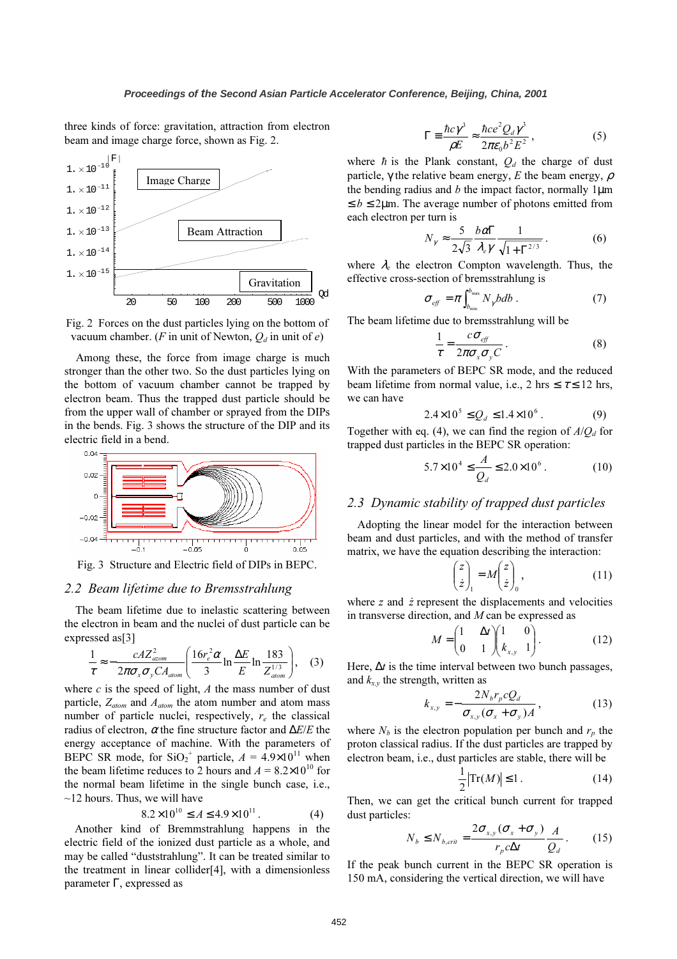three kinds of force: gravitation, attraction from electron beam and image charge force, shown as Fig. 2.



Fig. 2 Forces on the dust particles lying on the bottom of vacuum chamber. (F in unit of Newton,  $Q_d$  in unit of e)

Among these, the force from image charge is much stronger than the other two. So the dust particles lying on the bottom of vacuum chamber cannot be trapped by electron beam. Thus the trapped dust particle should be from the upper wall of chamber or sprayed from the DIPs in the bends. Fig. 3 shows the structure of the DIP and its electric field in a bend.



Fig. 3 Structure and Electric field of DIPs in BEPC.

#### 2.2 Beam lifetime due to Bremsstrahlung

The beam lifetime due to inelastic scattering between the electron in beam and the nuclei of dust particle can be expressed as[3]

$$
\frac{1}{\tau} \approx -\frac{cAZ_{acom}^2}{2\pi\sigma_x\sigma_y C A_{atom}} \left( \frac{16r_e^2 \alpha}{3} \ln \frac{\Delta E}{E} \ln \frac{183}{Z_{aiom}^{1/3}} \right), \quad (3)
$$

where  $c$  is the speed of light,  $A$  the mass number of dust particle,  $Z_{atom}$  and  $A_{atom}$  the atom number and atom mass number of particle nuclei, respectively,  $r_e$  the classical radius of electron,  $\alpha$  the fine structure factor and  $\Delta E/E$  the energy acceptance of machine. With the parameters of BEPC SR mode, for  $SiO_2^+$  particle,  $A = 4.9 \times 10^{11}$  when the beam lifetime reduces to 2 hours and  $A = 8.2 \times 10^{10}$  for the normal beam lifetime in the single bunch case, i.e.,  $\sim$ 12 hours. Thus, we will have

$$
8.2 \times 10^{10} \le A \le 4.9 \times 10^{11} \,. \tag{4}
$$

Another kind of Bremmstrahlung happens in the electric field of the ionized dust particle as a whole, and may be called "duststrahlung". It can be treated similar to the treatment in linear collider[4], with a dimensionless parameter Γ, expressed as

$$
\Gamma \equiv \frac{\hbar c \gamma^3}{\rho E} \approx \frac{\hbar c e^2 Q_d \gamma^3}{2\pi \varepsilon_0 b^2 E^2},
$$
 (5)

where  $\hbar$  is the Plank constant,  $Q_d$  the charge of dust particle,  $\gamma$  the relative beam energy, E the beam energy,  $\rho$ the bending radius and b the impact factor, normally  $1\mu$ m  $\leq b \leq 2$ µm. The average number of photons emitted from each electron per turn is

$$
N_{\gamma} \approx \frac{5}{2\sqrt{3}} \frac{b\alpha \Gamma}{\lambda_{e}\gamma} \frac{1}{\sqrt{1+\Gamma^{2/3}}}.
$$
 (6)

where  $\lambda_e$  the electron Compton wavelength. Thus, the effective cross-section of bremsstrahlung is

$$
\sigma_{\text{eff}} = \pi \int_{b_{\min}}^{b_{\max}} N_{\gamma} b db \,. \tag{7}
$$

The beam lifetime due to bremsstrahlung will be

$$
\frac{1}{\tau} = \frac{c\sigma_{\text{eff}}}{2\pi\sigma_x\sigma_y C} \,. \tag{8}
$$

With the parameters of BEPC SR mode, and the reduced beam lifetime from normal value, i.e., 2 hrs  $\leq \tau \leq 12$  hrs, we can have

$$
2.4 \times 10^5 \le Q_d \le 1.4 \times 10^6 \,. \tag{9}
$$

Together with eq. (4), we can find the region of  $A/Q_d$  for trapped dust particles in the BEPC SR operation:

$$
5.7 \times 10^4 \le \frac{A}{Q_d} \le 2.0 \times 10^6 \,. \tag{10}
$$

## 2.3 Dynamic stability of trapped dust particles

Adopting the linear model for the interaction between beam and dust particles, and with the method of transfer matrix, we have the equation describing the interaction:

$$
\begin{pmatrix} z \\ \dot{z} \end{pmatrix}_{1} = M \begin{pmatrix} z \\ \dot{z} \end{pmatrix}_{0}, \tag{11}
$$

where  $z$  and  $\dot{z}$  represent the displacements and velocities in transverse direction, and  $M$  can be expressed as

$$
M = \begin{pmatrix} 1 & \Delta t \\ 0 & 1 \end{pmatrix} \begin{pmatrix} 1 & 0 \\ k_{x,y} & 1 \end{pmatrix}.
$$
 (12)

Here,  $\Delta t$  is the time interval between two bunch passages, and  $k_{x,y}$  the strength, written as

$$
k_{x,y} = -\frac{2N_b r_p cQ_d}{\sigma_{x,y} (\sigma_x + \sigma_y)A},
$$
\n(13)

where  $N_b$  is the electron population per bunch and  $r_p$  the proton classical radius. If the dust particles are trapped by electron beam, i.e., dust particles are stable, there will be

$$
\frac{1}{2} \left| \text{Tr}(M) \right| \le 1. \tag{14}
$$

Then, we can get the critical bunch current for trapped dust particles:

$$
N_b \le N_{b,crit} = \frac{2\sigma_{x,y}(\sigma_x + \sigma_y)}{r_p c \Delta t} \frac{A}{Q_d}.
$$
 (15)

If the peak bunch current in the BEPC SR operation is 150 mA, considering the vertical direction, we will have